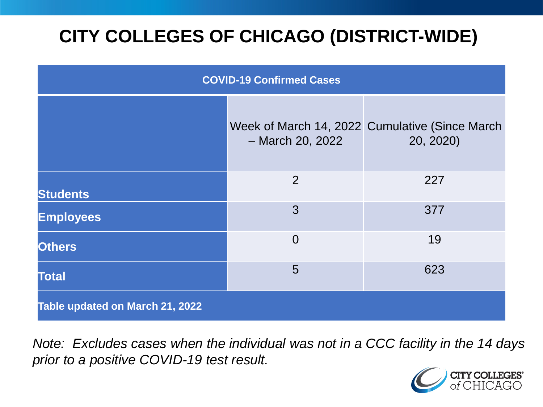# **CITY COLLEGES OF CHICAGO (DISTRICT-WIDE)**

| <b>COVID-19 Confirmed Cases</b> |                  |                                                             |
|---------------------------------|------------------|-------------------------------------------------------------|
|                                 | - March 20, 2022 | Week of March 14, 2022 Cumulative (Since March<br>20, 2020) |
| <b>Students</b>                 | 2                | 227                                                         |
| <b>Employees</b>                | 3                | 377                                                         |
| <b>Others</b>                   | $\overline{0}$   | 19                                                          |
| <b>Total</b>                    | 5                | 623                                                         |
| Table updated on March 21, 2022 |                  |                                                             |

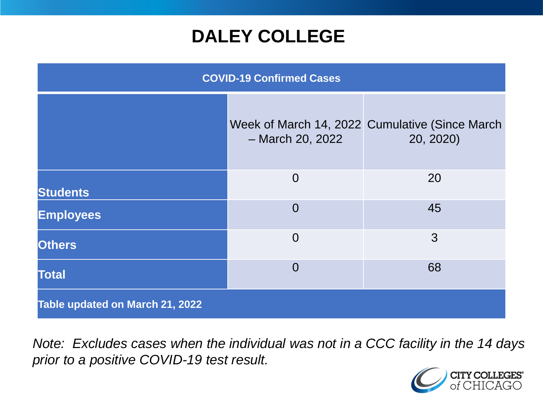### **DALEY COLLEGE**

| <b>COVID-19 Confirmed Cases</b> |                  |                                                             |
|---------------------------------|------------------|-------------------------------------------------------------|
|                                 | - March 20, 2022 | Week of March 14, 2022 Cumulative (Since March<br>20, 2020) |
| <b>Students</b>                 | $\overline{0}$   | 20                                                          |
| <b>Employees</b>                | $\overline{0}$   | 45                                                          |
| <b>Others</b>                   | $\overline{0}$   | 3                                                           |
| <b>Total</b>                    | $\overline{0}$   | 68                                                          |
| Table updated on March 21, 2022 |                  |                                                             |

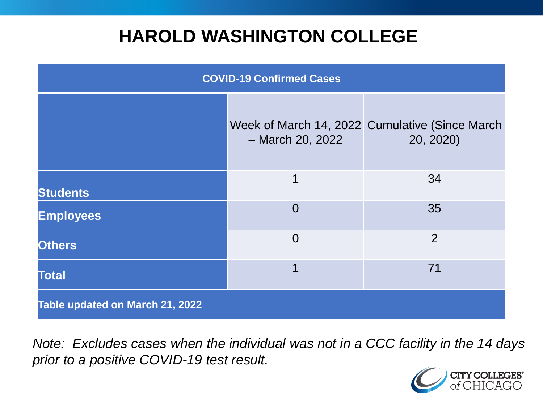### **HAROLD WASHINGTON COLLEGE**

| <b>COVID-19 Confirmed Cases</b> |                  |                                                             |
|---------------------------------|------------------|-------------------------------------------------------------|
|                                 | - March 20, 2022 | Week of March 14, 2022 Cumulative (Since March<br>20, 2020) |
| <b>Students</b>                 | 1                | 34                                                          |
| <b>Employees</b>                | $\Omega$         | 35                                                          |
| <b>Others</b>                   | $\overline{0}$   | 2                                                           |
| <b>Total</b>                    |                  | 71                                                          |
| Table updated on March 21, 2022 |                  |                                                             |

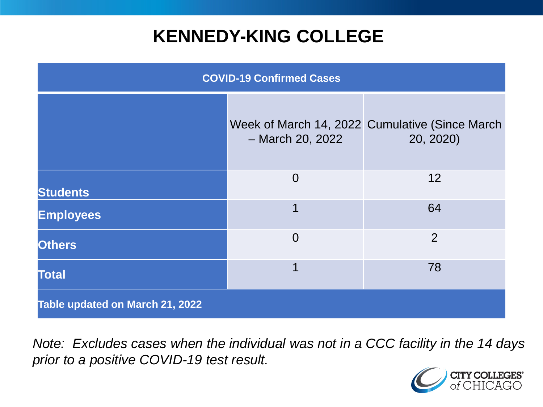### **KENNEDY-KING COLLEGE**

| <b>COVID-19 Confirmed Cases</b> |                  |                                                             |
|---------------------------------|------------------|-------------------------------------------------------------|
|                                 | - March 20, 2022 | Week of March 14, 2022 Cumulative (Since March<br>20, 2020) |
| <b>Students</b>                 | $\overline{0}$   | 12                                                          |
| <b>Employees</b>                | 1                | 64                                                          |
| <b>Others</b>                   | $\overline{0}$   | $\overline{2}$                                              |
| <b>Total</b>                    | 1                | 78                                                          |
| Table updated on March 21, 2022 |                  |                                                             |

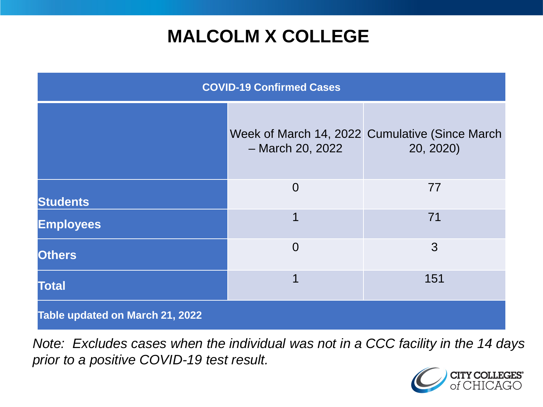## **MALCOLM X COLLEGE**

| <b>COVID-19 Confirmed Cases</b> |                  |                                                             |
|---------------------------------|------------------|-------------------------------------------------------------|
|                                 | - March 20, 2022 | Week of March 14, 2022 Cumulative (Since March<br>20, 2020) |
| <b>Students</b>                 | $\Omega$         | 77                                                          |
| <b>Employees</b>                | 1                | 71                                                          |
| <b>Others</b>                   | $\Omega$         | 3                                                           |
| <b>Total</b>                    | 1                | 151                                                         |
| Table updated on March 21, 2022 |                  |                                                             |

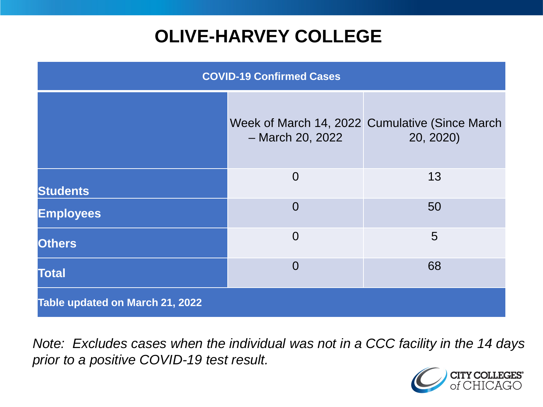# **OLIVE-HARVEY COLLEGE**

| <b>COVID-19 Confirmed Cases</b> |                  |                                                             |
|---------------------------------|------------------|-------------------------------------------------------------|
|                                 | - March 20, 2022 | Week of March 14, 2022 Cumulative (Since March<br>20, 2020) |
| <b>Students</b>                 | $\overline{0}$   | 13                                                          |
| <b>Employees</b>                | $\Omega$         | 50                                                          |
| <b>Others</b>                   | $\Omega$         | 5                                                           |
| <b>Total</b>                    | $\Omega$         | 68                                                          |
| Table updated on March 21, 2022 |                  |                                                             |

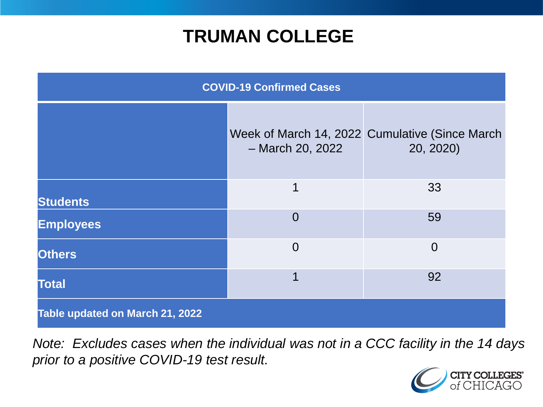### **TRUMAN COLLEGE**

| <b>COVID-19 Confirmed Cases</b> |                  |                                                             |
|---------------------------------|------------------|-------------------------------------------------------------|
|                                 | - March 20, 2022 | Week of March 14, 2022 Cumulative (Since March<br>20, 2020) |
| <b>Students</b>                 | 1                | 33                                                          |
| <b>Employees</b>                | $\Omega$         | 59                                                          |
| <b>Others</b>                   | $\Omega$         | $\overline{0}$                                              |
| <b>Total</b>                    | 1                | 92                                                          |
| Table updated on March 21, 2022 |                  |                                                             |

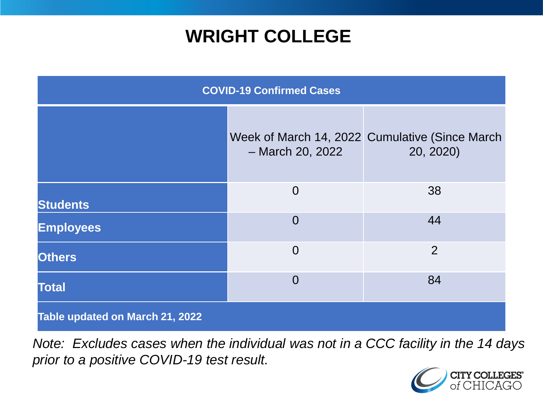### **WRIGHT COLLEGE**

| <b>COVID-19 Confirmed Cases</b> |                  |                                                             |
|---------------------------------|------------------|-------------------------------------------------------------|
|                                 | - March 20, 2022 | Week of March 14, 2022 Cumulative (Since March<br>20, 2020) |
| <b>Students</b>                 | $\overline{0}$   | 38                                                          |
| <b>Employees</b>                | $\overline{0}$   | 44                                                          |
| <b>Others</b>                   | $\overline{0}$   | $\overline{2}$                                              |
| <b>Total</b>                    | $\overline{0}$   | 84                                                          |
| Table updated on March 21, 2022 |                  |                                                             |

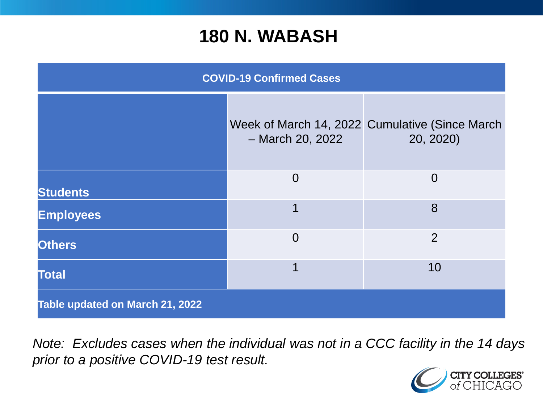#### **180 N. WABASH**

| <b>COVID-19 Confirmed Cases</b> |                  |                                                             |
|---------------------------------|------------------|-------------------------------------------------------------|
|                                 | - March 20, 2022 | Week of March 14, 2022 Cumulative (Since March<br>20, 2020) |
| <b>Students</b>                 | $\overline{0}$   | $\overline{0}$                                              |
| <b>Employees</b>                | 1                | 8                                                           |
| <b>Others</b>                   | $\overline{0}$   | $\overline{2}$                                              |
| <b>Total</b>                    | 1                | 10                                                          |
| Table updated on March 21, 2022 |                  |                                                             |